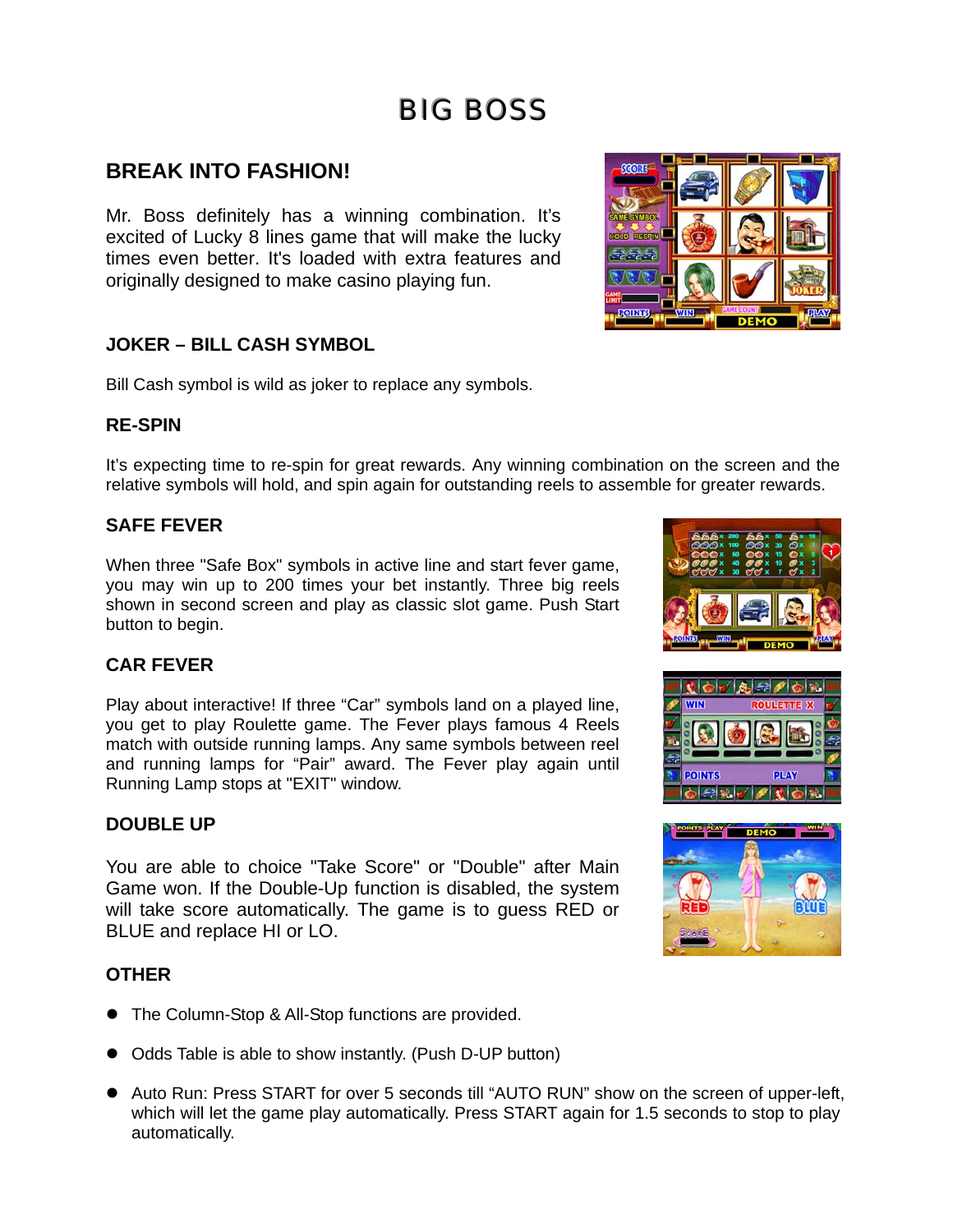# **BIG BOSS**

### **BREAK INTO FASHION!**

Mr. Boss definitely has a winning combination. It's excited of Lucky 8 lines game that will make the lucky times even better. It's loaded with extra features and originally designed to make casino playing fun.

#### **JOKER – BILL CASH SYMBOL**

Bill Cash symbol is wild as joker to replace any symbols.

#### **RE-SPIN**

It's expecting time to re-spin for great rewards. Any winning combination on the screen and the relative symbols will hold, and spin again for outstanding reels to assemble for greater rewards.

#### **SAFE FEVER**

When three "Safe Box" symbols in active line and start fever game, you may win up to 200 times your bet instantly. Three big reels shown in second screen and play as classic slot game. Push Start button to begin.

#### **CAR FEVER**

Play about interactive! If three "Car" symbols land on a played line, you get to play Roulette game. The Fever plays famous 4 Reels match with outside running lamps. Any same symbols between reel and running lamps for "Pair" award. The Fever play again until Running Lamp stops at "EXIT" window.

#### **DOUBLE UP**

You are able to choice "Take Score" or "Double" after Main Game won. If the Double-Up function is disabled, the system will take score automatically. The game is to guess RED or BLUE and replace HI or LO.

#### **OTHER**

- The Column-Stop & All-Stop functions are provided.
- Odds Table is able to show instantly. (Push D-UP button)
- Auto Run: Press START for over 5 seconds till "AUTO RUN" show on the screen of upper-left, which will let the game play automatically. Press START again for 1.5 seconds to stop to play automatically.







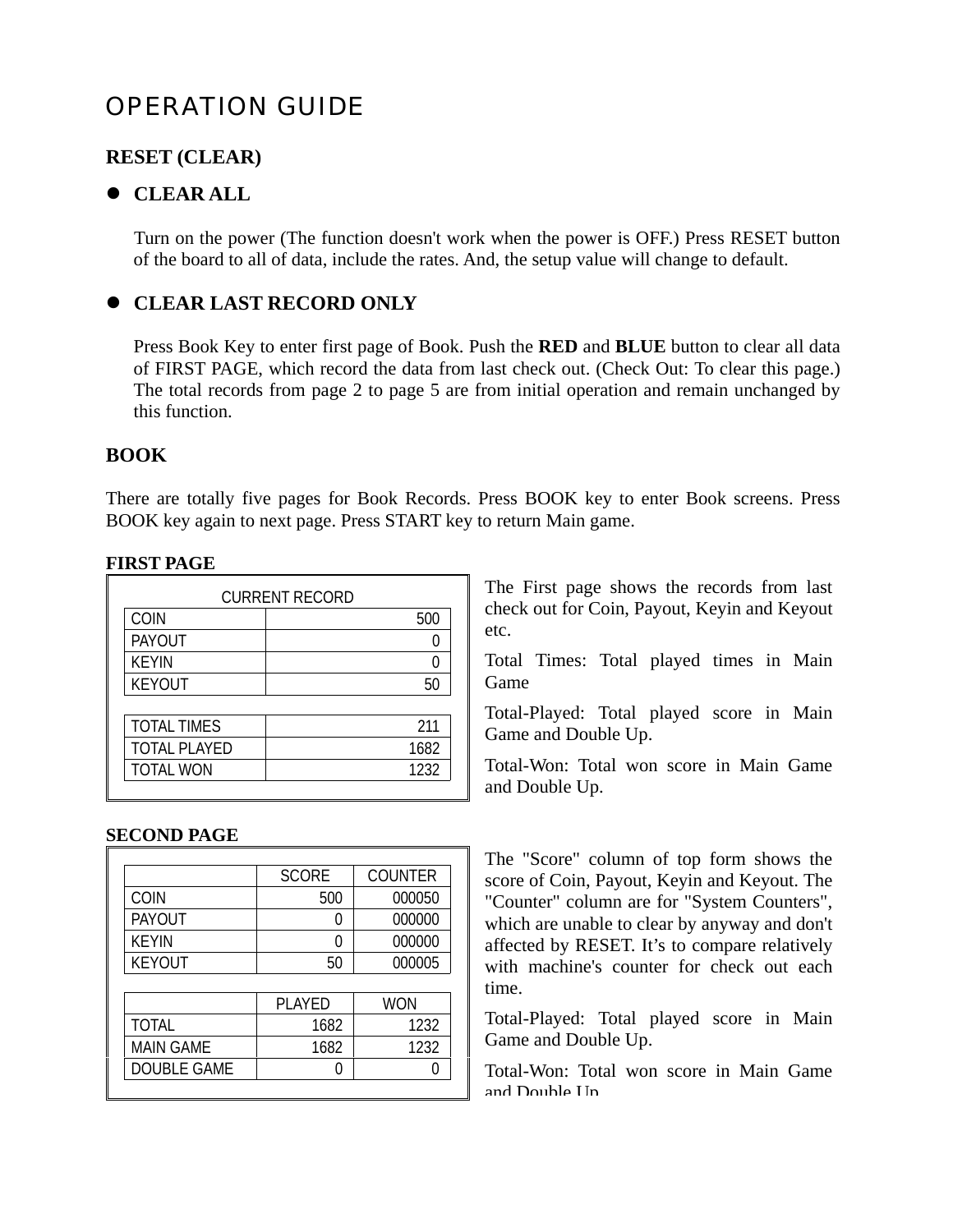# OPERATION GUIDE

#### **RESET (CLEAR)**

#### $\bullet$  **CLEAR ALL**

Turn on the power (The function doesn't work when the power is OFF.) Press RESET button of the board to all of data, include the rates. And, the setup value will change to default.

#### $\bullet$  **CLEAR LAST RECORD ONLY**

Press Book Key to enter first page of Book. Push the **RED** and **BLUE** button to clear all data of FIRST PAGE, which record the data from last check out. (Check Out: To clear this page.) The total records from page 2 to page 5 are from initial operation and remain unchanged by this function.

#### **BOOK**

There are totally five pages for Book Records. Press BOOK key to enter Book screens. Press BOOK key again to next page. Press START key to return Main game.

#### **FIRST PAGE**

| <b>CURRENT RECORD</b> |      |
|-----------------------|------|
| COIN                  | 500  |
| <b>PAYOUT</b>         |      |
| <b>KEYIN</b>          |      |
| <b>KEYOUT</b>         | 50   |
|                       |      |
| <b>TOTAL TIMES</b>    | 211  |
| <b>TOTAL PLAYED</b>   | 1682 |
| <b>TOTAL WON</b>      | 1232 |

#### **SECOND PAGE**

|                    | <b>SCORE</b>  | <b>COUNTER</b> |
|--------------------|---------------|----------------|
| COIN               | 500           | 000050         |
| <b>PAYOUT</b>      |               | 000000         |
| <b>KEYIN</b>       |               | 000000         |
| <b>KEYOUT</b>      | 50            | 000005         |
|                    |               |                |
|                    | <b>PLAYED</b> | <b>WON</b>     |
| <b>TOTAL</b>       | 1682          | 1232           |
| <b>MAIN GAME</b>   | 1682          | 1232           |
| <b>DOUBLE GAME</b> |               |                |
|                    |               |                |

The First page shows the records from last check out for Coin, Payout, Keyin and Keyout etc.

Total Times: Total played times in Main Game

Total-Played: Total played score in Main Game and Double Up.

Total-Won: Total won score in Main Game and Double Up.

The "Score" column of top form shows the score of Coin, Payout, Keyin and Keyout. The "Counter" column are for "System Counters", which are unable to clear by anyway and don't affected by RESET. It's to compare relatively with machine's counter for check out each time.

Total-Played: Total played score in Main Game and Double Up.

Total-Won: Total won score in Main Game and Double I In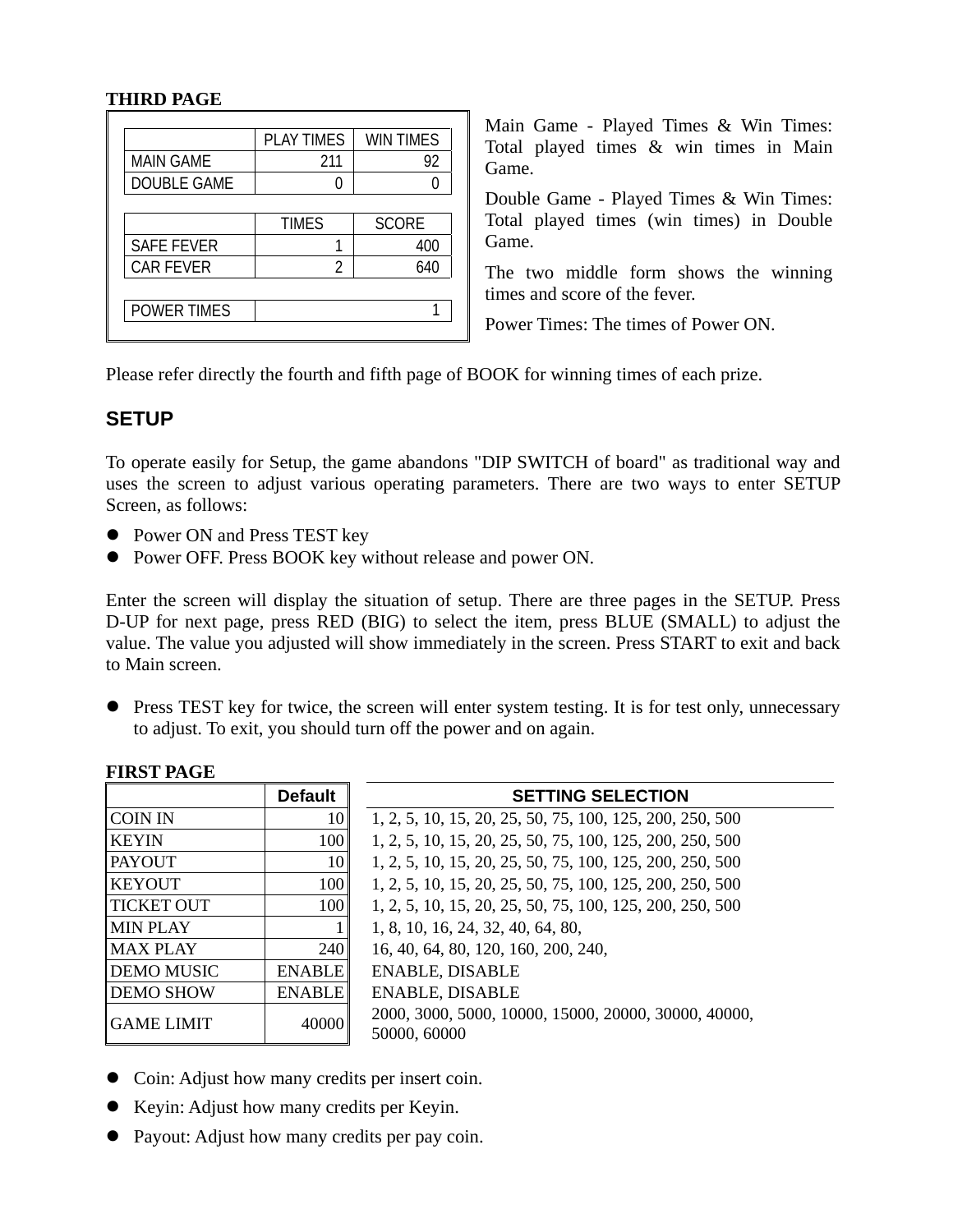#### **THIRD PAGE**

|                    | <b>PLAY TIMES</b> | WIN TIMES    |
|--------------------|-------------------|--------------|
| <b>MAIN GAME</b>   | 211               | 92           |
| DOUBLE GAME        |                   |              |
|                    |                   |              |
|                    | <b>TIMES</b>      | <b>SCORE</b> |
| <b>SAFE FEVER</b>  |                   | 400          |
| <b>CAR FEVER</b>   | 2                 | 640          |
|                    |                   |              |
| <b>POWER TIMES</b> |                   |              |

Main Game - Played Times & Win Times: Total played times & win times in Main Game.

Double Game - Played Times & Win Times: Total played times (win times) in Double Game.

The two middle form shows the winning times and score of the fever.

Power Times: The times of Power ON.

Please refer directly the fourth and fifth page of BOOK for winning times of each prize.

### **SETUP**

To operate easily for Setup, the game abandons "DIP SWITCH of board" as traditional way and uses the screen to adjust various operating parameters. There are two ways to enter SETUP Screen, as follows:

- Power ON and Press TEST key
- Power OFF. Press BOOK key without release and power ON.

Enter the screen will display the situation of setup. There are three pages in the SETUP. Press D-UP for next page, press RED (BIG) to select the item, press BLUE (SMALL) to adjust the value. The value you adjusted will show immediately in the screen. Press START to exit and back to Main screen.

• Press TEST key for twice, the screen will enter system testing. It is for test only, unnecessary to adjust. To exit, you should turn off the power and on again.

#### **FIRST PAGE**

|                   | <b>Default</b>   | <b>SETTING SELECTION</b>                                             |  |  |
|-------------------|------------------|----------------------------------------------------------------------|--|--|
| <b>COIN IN</b>    | 10               | 1, 2, 5, 10, 15, 20, 25, 50, 75, 100, 125, 200, 250, 500             |  |  |
| <b>KEYIN</b>      | 100              | 1, 2, 5, 10, 15, 20, 25, 50, 75, 100, 125, 200, 250, 500             |  |  |
| <b>PAYOUT</b>     | 10               | 1, 2, 5, 10, 15, 20, 25, 50, 75, 100, 125, 200, 250, 500             |  |  |
| <b>KEYOUT</b>     | 100              | 1, 2, 5, 10, 15, 20, 25, 50, 75, 100, 125, 200, 250, 500             |  |  |
| <b>TICKET OUT</b> | 100 <sup>°</sup> | 1, 2, 5, 10, 15, 20, 25, 50, 75, 100, 125, 200, 250, 500             |  |  |
| <b>MIN PLAY</b>   |                  | 1, 8, 10, 16, 24, 32, 40, 64, 80,                                    |  |  |
| <b>MAX PLAY</b>   | 240              | 16, 40, 64, 80, 120, 160, 200, 240,                                  |  |  |
| <b>DEMO MUSIC</b> | <b>ENABLE</b>    | <b>ENABLE, DISABLE</b>                                               |  |  |
| <b>DEMO SHOW</b>  | <b>ENABLE</b>    | <b>ENABLE, DISABLE</b>                                               |  |  |
| <b>GAME LIMIT</b> | 40000            | 2000, 3000, 5000, 10000, 15000, 20000, 30000, 40000,<br>50000, 60000 |  |  |

- Coin: Adjust how many credits per insert coin.
- Keyin: Adjust how many credits per Keyin.
- Payout: Adjust how many credits per pay coin.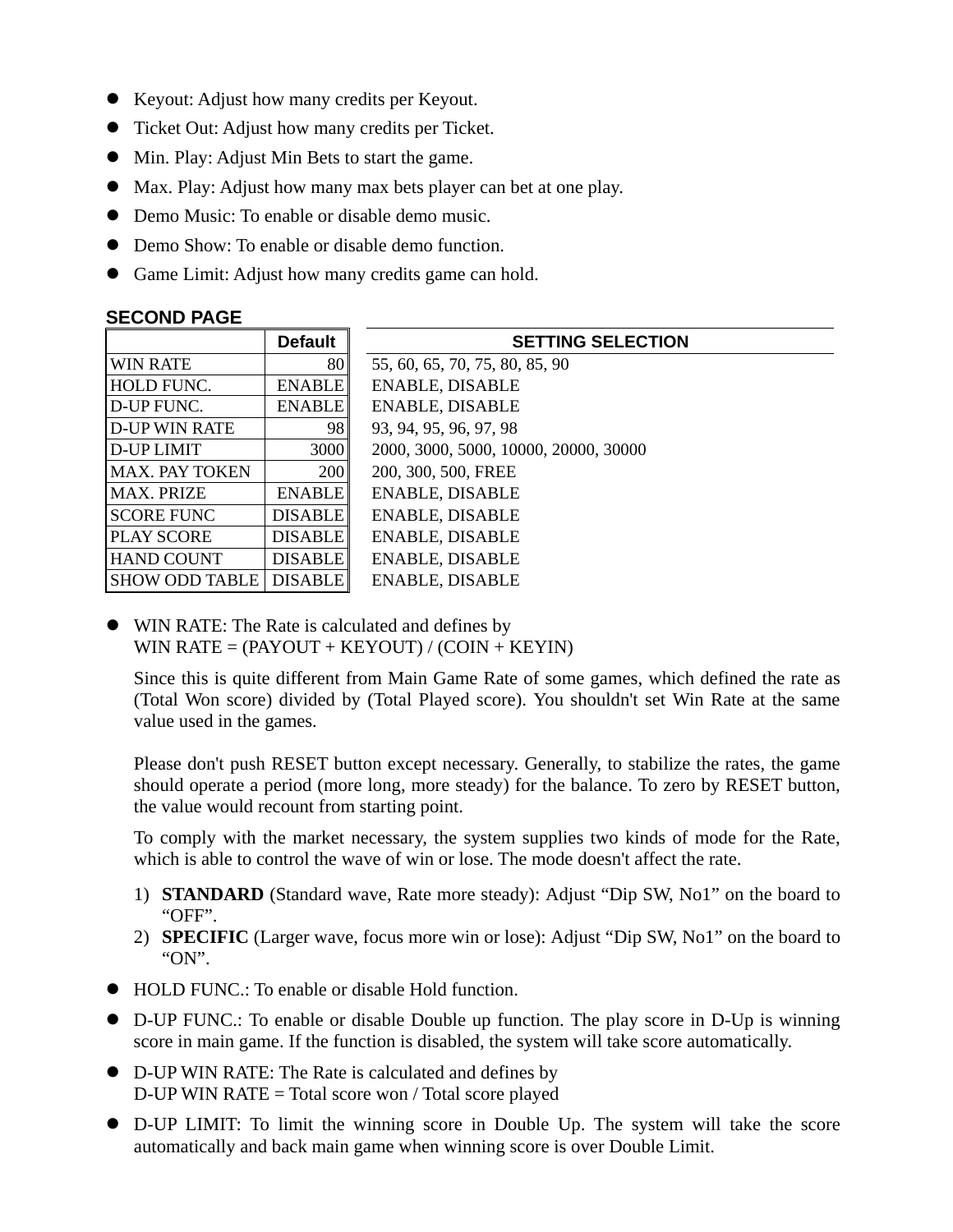- Keyout: Adjust how many credits per Keyout.
- Ticket Out: Adjust how many credits per Ticket.
- Min. Play: Adjust Min Bets to start the game.
- Max. Play: Adjust how many max bets player can bet at one play.
- Demo Music: To enable or disable demo music.
- Demo Show: To enable or disable demo function.
- Game Limit: Adjust how many credits game can hold.

#### **SECOND PAGE**

|                       | <b>Default</b>   | <b>SETTING SELECTION</b>              |
|-----------------------|------------------|---------------------------------------|
| <b>WIN RATE</b>       | 80               | 55, 60, 65, 70, 75, 80, 85, 90        |
| HOLD FUNC.            | <b>ENABLE</b>    | <b>ENABLE, DISABLE</b>                |
| <b>ID-UP FUNC.</b>    | <b>ENABLE</b>    | <b>ENABLE, DISABLE</b>                |
| <b>ID-UP WIN RATE</b> | 98               | 93, 94, 95, 96, 97, 98                |
| <b>ID-UP LIMIT</b>    | 3000             | 2000, 3000, 5000, 10000, 20000, 30000 |
| <b>MAX. PAY TOKEN</b> | 200 <sup>1</sup> | 200, 300, 500, FREE                   |
| IMAX. PRIZE           | <b>ENABLE</b>    | <b>ENABLE, DISABLE</b>                |
| <b>SCORE FUNC</b>     | <b>DISABLE</b>   | <b>ENABLE, DISABLE</b>                |
| <b>PLAY SCORE</b>     | <b>DISABLE</b>   | <b>ENABLE, DISABLE</b>                |
| <b>HAND COUNT</b>     | <b>DISABLE</b>   | <b>ENABLE, DISABLE</b>                |
| <b>SHOW ODD TABLE</b> | <b>DISABLE</b>   | <b>ENABLE, DISABLE</b>                |

• WIN RATE: The Rate is calculated and defines by WIN RATE  $= (PAYOUT + KEYOUT) / (CON + KEYIN)$ 

Since this is quite different from Main Game Rate of some games, which defined the rate as (Total Won score) divided by (Total Played score). You shouldn't set Win Rate at the same value used in the games.

Please don't push RESET button except necessary. Generally, to stabilize the rates, the game should operate a period (more long, more steady) for the balance. To zero by RESET button, the value would recount from starting point.

To comply with the market necessary, the system supplies two kinds of mode for the Rate, which is able to control the wave of win or lose. The mode doesn't affect the rate.

- 1) **STANDARD** (Standard wave, Rate more steady): Adjust "Dip SW, No1" on the board to "OFF".
- 2) **SPECIFIC** (Larger wave, focus more win or lose): Adjust "Dip SW, No1" on the board to "ON".
- $\bullet$  HOLD FUNC.: To enable or disable Hold function.
- D-UP FUNC.: To enable or disable Double up function. The play score in D-Up is winning score in main game. If the function is disabled, the system will take score automatically.
- D-UP WIN RATE: The Rate is calculated and defines by D-UP WIN RATE = Total score won / Total score played
- z D-UP LIMIT: To limit the winning score in Double Up. The system will take the score automatically and back main game when winning score is over Double Limit.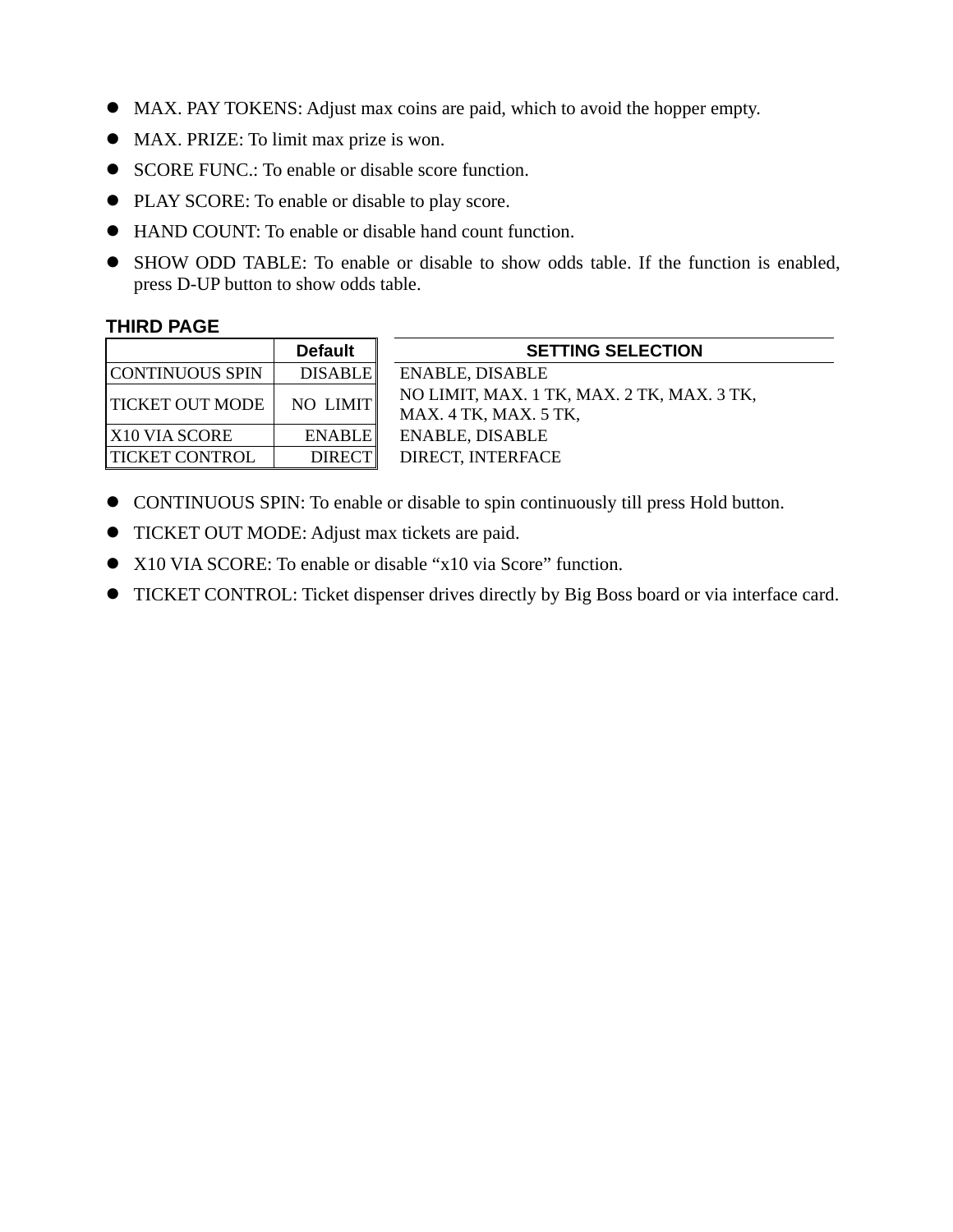- MAX. PAY TOKENS: Adjust max coins are paid, which to avoid the hopper empty.
- MAX. PRIZE: To limit max prize is won.
- SCORE FUNC.: To enable or disable score function.
- PLAY SCORE: To enable or disable to play score.
- $\bullet$  HAND COUNT: To enable or disable hand count function.
- SHOW ODD TABLE: To enable or disable to show odds table. If the function is enabled, press D-UP button to show odds table.

#### **THIRD PAGE**

|                        | <b>Default</b> |
|------------------------|----------------|
| CONTINUOUS SPIN        | <b>DISABLE</b> |
| <b>TICKET OUT MODE</b> | NO LIMIT       |
| X10 VIA SCORE          | <b>ENABLE</b>  |
| TICKET CONTROL         | <b>DIRECT</b>  |

**SETTING SELECTION** ENABLE, DISABLE NO LIMIT, MAX. 1 TK, MAX. 2 TK, MAX. 3 TK, MAX. 4 TK, MAX. 5 TK, ENABLE, DISABLE DIRECT, INTERFACE

- CONTINUOUS SPIN: To enable or disable to spin continuously till press Hold button.
- **TICKET OUT MODE:** Adjust max tickets are paid.
- X10 VIA SCORE: To enable or disable "x10 via Score" function.
- TICKET CONTROL: Ticket dispenser drives directly by Big Boss board or via interface card.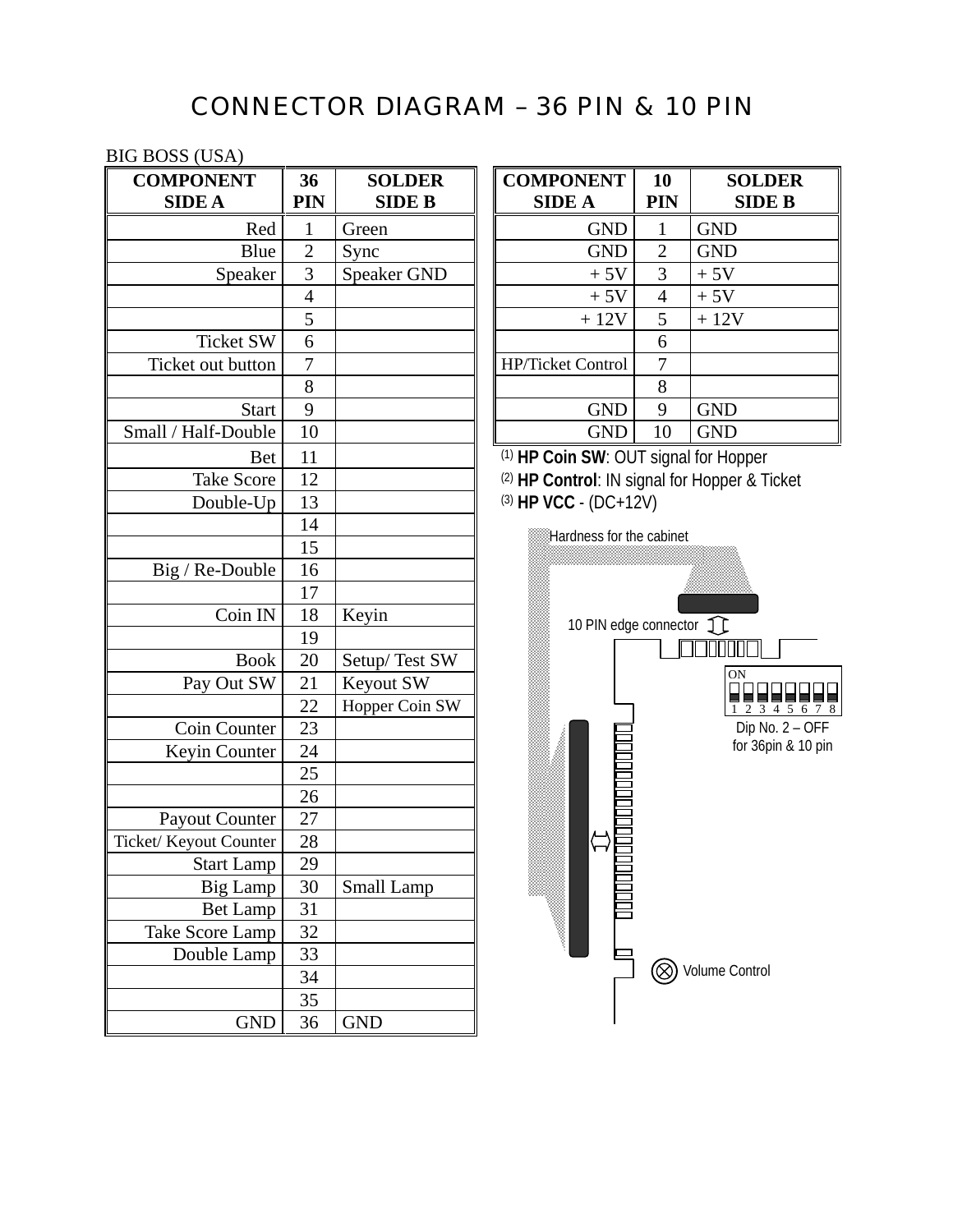# CONNECTOR DIAGRAM – 36 PIN & 10 PIN

#### BIG BOSS (USA)

| <b>COMPONENT</b>       | 36             | <b>SOLDER</b>      | <b>COMPONENT</b>                             | 10             | S          |
|------------------------|----------------|--------------------|----------------------------------------------|----------------|------------|
| <b>SIDE A</b>          | PIN            | <b>SIDE B</b>      | <b>SIDE A</b>                                | <b>PIN</b>     |            |
| Red                    | 1              | Green              | <b>GND</b>                                   | 1              | <b>GND</b> |
| Blue                   | $\overline{2}$ | Sync               | <b>GND</b>                                   | $\overline{2}$ | <b>GND</b> |
| Speaker                | 3              | <b>Speaker GND</b> | $+5V$                                        | 3              | $+5V$      |
|                        | $\overline{4}$ |                    | $+5V$                                        | $\overline{4}$ | $+5V$      |
|                        | 5              |                    | $+12V$                                       | 5              | $+12V$     |
| <b>Ticket SW</b>       | 6              |                    |                                              | 6              |            |
| Ticket out button      | 7              |                    | HP/Ticket Control                            | 7              |            |
|                        | 8              |                    |                                              | 8              |            |
| <b>Start</b>           | 9              |                    | <b>GND</b>                                   | 9              | <b>GND</b> |
| Small / Half-Double    | 10             |                    | <b>GND</b>                                   | 10             | <b>GND</b> |
| <b>Bet</b>             | 11             |                    | (1) HP Coin SW: OUT signal for Hop           |                |            |
| <b>Take Score</b>      | 12             |                    | (2) HP Control: IN signal for Hopper         |                |            |
| Double-Up              | 13             |                    | (3) HP VCC - (DC+12V)                        |                |            |
|                        | 14             |                    |                                              |                |            |
|                        | 15             |                    | Hardness for the cabinet                     |                |            |
| Big / Re-Double        | 16             |                    |                                              |                |            |
|                        | 17             |                    |                                              |                |            |
| Coin IN                | 18             | Keyin              | 10 PIN edge connector $\widehat{\mathbb{1}}$ |                |            |
|                        | 19             |                    |                                              |                |            |
| <b>Book</b>            | 20             | Setup/Test SW      |                                              |                |            |
| Pay Out SW             | 21             | Keyout SW          |                                              |                | $\Omega$   |
|                        | 22             | Hopper Coin SW     |                                              |                |            |
| Coin Counter           | 23             |                    |                                              |                |            |
| Keyin Counter          | 24             |                    |                                              |                | f          |
|                        | 25             |                    |                                              |                |            |
|                        | 26             |                    |                                              |                |            |
| Payout Counter         | 27             |                    |                                              |                |            |
| Ticket/ Keyout Counter | 28             |                    |                                              |                |            |
| <b>Start Lamp</b>      | 29             |                    |                                              |                |            |
| Big Lamp               | 30             | Small Lamp         |                                              |                |            |
| <b>Bet Lamp</b>        | 31             |                    |                                              |                |            |
| Take Score Lamp        | 32             |                    |                                              |                |            |
| Double Lamp            | 33             |                    |                                              |                |            |
|                        | 34             |                    |                                              |                | Volume C   |
|                        | 35             |                    |                                              |                |            |
| <b>GND</b>             | 36             | <b>GND</b>         |                                              |                |            |

| 36<br>PIN | <b>SOLDER</b><br><b>SIDE B</b> | <b>COMPONENT</b><br><b>SIDE A</b> | <b>10</b><br>PIN | <b>SOLDER</b><br><b>SIDE B</b> |
|-----------|--------------------------------|-----------------------------------|------------------|--------------------------------|
| 1         | Green                          | <b>GND</b>                        | 1                | <b>GND</b>                     |
| 2         | Sync                           | <b>GND</b>                        | 2                | <b>GND</b>                     |
| 3         | Speaker GND                    | $+5V$                             | 3                | $+5V$                          |
| 4         |                                | $+5V$                             | $\overline{4}$   | $+5V$                          |
| 5         |                                | $+12V$                            | 5                | $+12V$                         |
| 6         |                                |                                   | 6                |                                |
| 7         |                                | HP/Ticket Control                 | 7                |                                |
| 8         |                                |                                   | 8                |                                |
| 9         |                                | <b>GND</b>                        | 9                | <b>GND</b>                     |
| 10        |                                | <b>GND</b>                        | 10               | <b>GND</b>                     |
|           |                                |                                   |                  |                                |

<sup>(1)</sup> HP Coin SW: OUT signal for Hopper <sup>(2)</sup> HP Control: IN signal for Hopper & Ticket (3) **HP VCC** - (DC+12V)